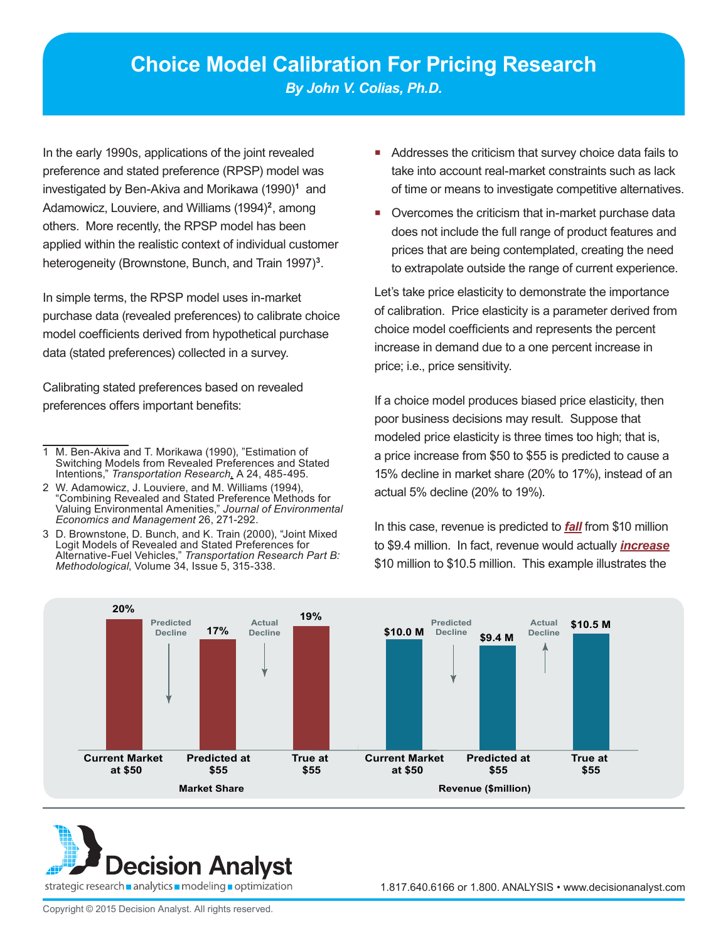In the early 1990s, applications of the joint revealed preference and stated preference (RPSP) model was investigated by Ben-Akiva and Morikawa (1990)**<sup>1</sup>** and Adamowicz, Louviere, and Williams (1994)**<sup>2</sup>**, among others. More recently, the RPSP model has been applied within the realistic context of individual customer heterogeneity (Brownstone, Bunch, and Train 1997)**<sup>3</sup>**.

In simple terms, the RPSP model uses in-market purchase data (revealed preferences) to calibrate choice model coefficients derived from hypothetical purchase data (stated preferences) collected in a survey.

Calibrating stated preferences based on revealed preferences offers important benefits:

- 1 M. Ben-Akiva and T. Morikawa (1990), "Estimation of Switching Models from Revealed Preferences and Stated Intentions," *Transportation Research,* A 24, 485-495.
- 2 W. Adamowicz, J. Louviere, and M. Williams (1994), "Combining Revealed and Stated Preference Methods for Valuing Environmental Amenities," *Journal of Environmental Economics and Management* 26, 271-292.
- 3 D. Brownstone, D. Bunch, and K. Train (2000), "Joint Mixed Logit Models of Revealed and Stated Preferences for Alternative-Fuel Vehicles," *Transportation Research Part B: Methodological*, Volume 34, Issue 5, 315-338.
- Addresses the criticism that survey choice data fails to take into account real-market constraints such as lack of time or means to investigate competitive alternatives.
- **Divercomes the criticism that in-market purchase data** does not include the full range of product features and prices that are being contemplated, creating the need to extrapolate outside the range of current experience.

Let's take price elasticity to demonstrate the importance of calibration. Price elasticity is a parameter derived from choice model coefficients and represents the percent increase in demand due to a one percent increase in price; i.e., price sensitivity.

If a choice model produces biased price elasticity, then poor business decisions may result. Suppose that modeled price elasticity is three times too high; that is, a price increase from \$50 to \$55 is predicted to cause a 15% decline in market share (20% to 17%), instead of an actual 5% decline (20% to 19%).

In this case, revenue is predicted to *fall* from \$10 million to \$9.4 million. In fact, revenue would actually *increase* \$10 million to \$10.5 million. This example illustrates the



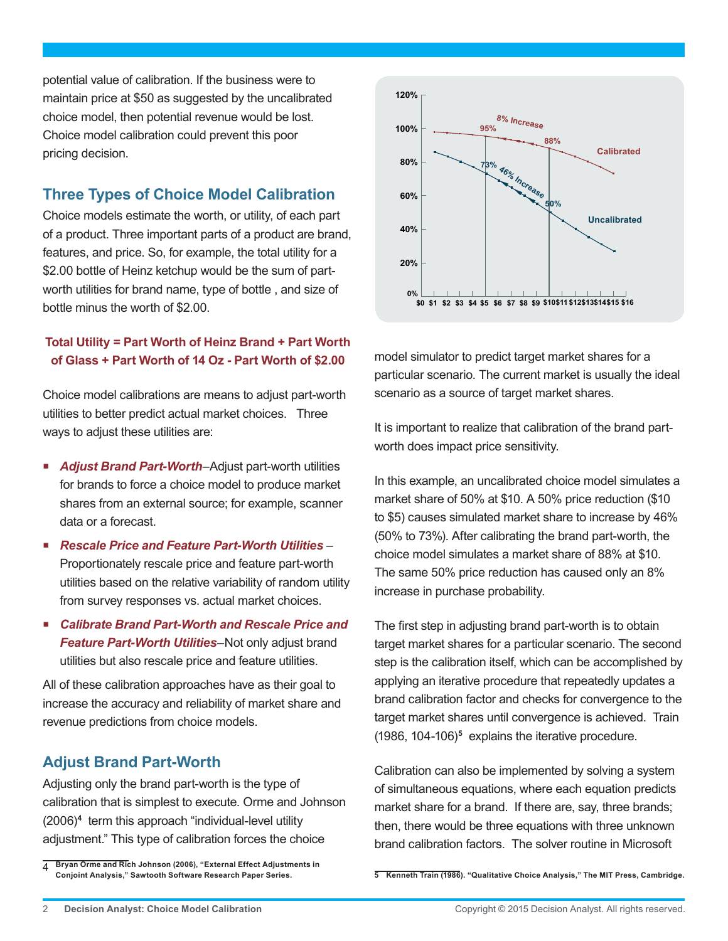potential value of calibration. If the business were to maintain price at \$50 as suggested by the uncalibrated choice model, then potential revenue would be lost. Choice model calibration could prevent this poor pricing decision.

## **Three Types of Choice Model Calibration**

Choice models estimate the worth, or utility, of each part of a product. Three important parts of a product are brand, features, and price. So, for example, the total utility for a \$2.00 bottle of Heinz ketchup would be the sum of partworth utilities for brand name, type of bottle , and size of bottle minus the worth of \$2.00.

#### **Total Utility = Part Worth of Heinz Brand + Part Worth of Glass + Part Worth of 14 Oz - Part Worth of \$2.00**

Choice model calibrations are means to adjust part-worth utilities to better predict actual market choices. Three ways to adjust these utilities are:

- *Adjust Brand Part-Worth–*Adjust part-worth utilities for brands to force a choice model to produce market shares from an external source; for example, scanner data or a forecast.
- *Rescale Price and Feature Part-Worth Utilities* Proportionately rescale price and feature part-worth utilities based on the relative variability of random utility from survey responses vs. actual market choices.
- *Calibrate Brand Part-Worth and Rescale Price and Feature Part-Worth Utilities*–Not only adjust brand utilities but also rescale price and feature utilities.

All of these calibration approaches have as their goal to increase the accuracy and reliability of market share and revenue predictions from choice models.

### **Adjust Brand Part-Worth**

Adjusting only the brand part-worth is the type of calibration that is simplest to execute. Orme and Johnson (2006)**<sup>4</sup>** term this approach "individual-level utility adjustment." This type of calibration forces the choice



model simulator to predict target market shares for a particular scenario. The current market is usually the ideal scenario as a source of target market shares.

It is important to realize that calibration of the brand partworth does impact price sensitivity.

In this example, an uncalibrated choice model simulates a market share of 50% at \$10. A 50% price reduction (\$10 to \$5) causes simulated market share to increase by 46% (50% to 73%). After calibrating the brand part-worth, the choice model simulates a market share of 88% at \$10. The same 50% price reduction has caused only an 8% increase in purchase probability.

The first step in adjusting brand part-worth is to obtain target market shares for a particular scenario. The second step is the calibration itself, which can be accomplished by applying an iterative procedure that repeatedly updates a brand calibration factor and checks for convergence to the target market shares until convergence is achieved. Train (1986, 104-106)**<sup>5</sup>** explains the iterative procedure.

Calibration can also be implemented by solving a system of simultaneous equations, where each equation predicts market share for a brand. If there are, say, three brands; then, there would be three equations with three unknown brand calibration factors. The solver routine in Microsoft

<sup>4</sup> **Bryan Orme and Rich Johnson (2006), "External Effect Adjustments in Conjoint Analysis," Sawtooth Software Research Paper Series.**

**<sup>5</sup> Kenneth Train (1986). "Qualitative Choice Analysis," The MIT Press, Cambridge.**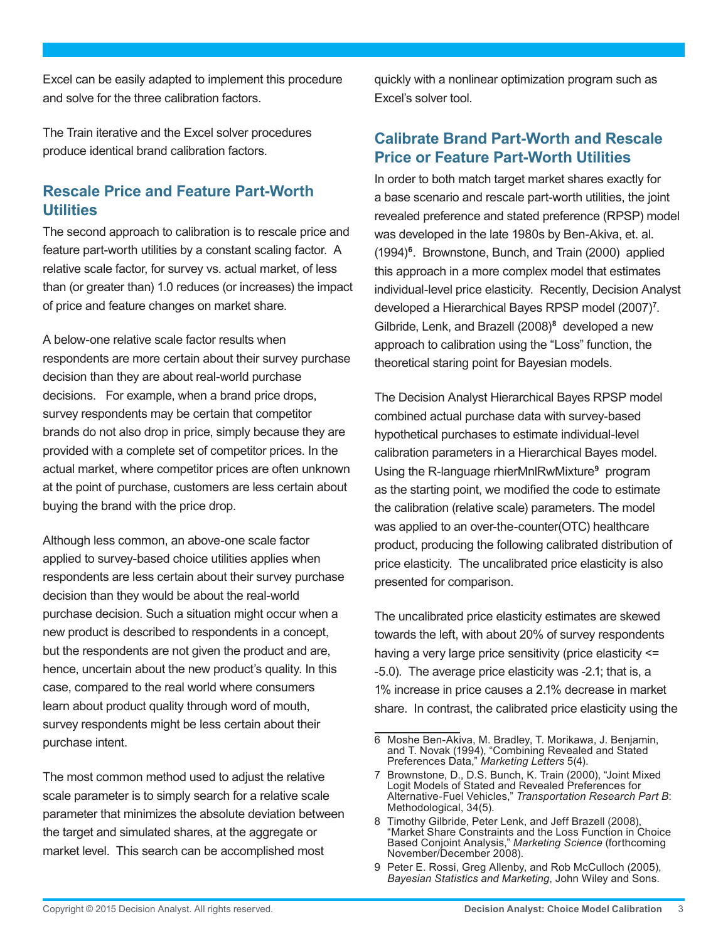Excel can be easily adapted to implement this procedure and solve for the three calibration factors.

The Train iterative and the Excel solver procedures produce identical brand calibration factors.

# **Rescale Price and Feature Part-Worth Utilities**

The second approach to calibration is to rescale price and feature part-worth utilities by a constant scaling factor. A relative scale factor, for survey vs. actual market, of less than (or greater than) 1.0 reduces (or increases) the impact of price and feature changes on market share.

A below-one relative scale factor results when respondents are more certain about their survey purchase decision than they are about real-world purchase decisions. For example, when a brand price drops, survey respondents may be certain that competitor brands do not also drop in price, simply because they are provided with a complete set of competitor prices. In the actual market, where competitor prices are often unknown at the point of purchase, customers are less certain about buying the brand with the price drop.

Although less common, an above-one scale factor applied to survey-based choice utilities applies when respondents are less certain about their survey purchase decision than they would be about the real-world purchase decision. Such a situation might occur when a new product is described to respondents in a concept, but the respondents are not given the product and are, hence, uncertain about the new product's quality. In this case, compared to the real world where consumers learn about product quality through word of mouth, survey respondents might be less certain about their purchase intent.

The most common method used to adjust the relative scale parameter is to simply search for a relative scale parameter that minimizes the absolute deviation between the target and simulated shares, at the aggregate or market level. This search can be accomplished most

quickly with a nonlinear optimization program such as Excel's solver tool.

## **Calibrate Brand Part-Worth and Rescale Price or Feature Part-Worth Utilities**

In order to both match target market shares exactly for a base scenario and rescale part-worth utilities, the joint revealed preference and stated preference (RPSP) model was developed in the late 1980s by Ben-Akiva, et. al. (1994)**<sup>6</sup>**. Brownstone, Bunch, and Train (2000) applied this approach in a more complex model that estimates individual-level price elasticity. Recently, Decision Analyst developed a Hierarchical Bayes RPSP model (2007)**<sup>7</sup>** . Gilbride, Lenk, and Brazell (2008)**<sup>8</sup>** developed a new approach to calibration using the "Loss" function, the theoretical staring point for Bayesian models.

The Decision Analyst Hierarchical Bayes RPSP model combined actual purchase data with survey-based hypothetical purchases to estimate individual-level calibration parameters in a Hierarchical Bayes model. Using the R-language rhierMnlRwMixture**<sup>9</sup>** program as the starting point, we modified the code to estimate the calibration (relative scale) parameters. The model was applied to an over-the-counter(OTC) healthcare product, producing the following calibrated distribution of price elasticity. The uncalibrated price elasticity is also presented for comparison.

The uncalibrated price elasticity estimates are skewed towards the left, with about 20% of survey respondents having a very large price sensitivity (price elasticity <= -5.0). The average price elasticity was -2.1; that is, a 1% increase in price causes a 2.1% decrease in market share. In contrast, the calibrated price elasticity using the

<sup>6</sup> Moshe Ben-Akiva, M. Bradley, T. Morikawa, J. Benjamin, and T. Novak (1994), "Combining Revealed and Stated Preferences Data," *Marketing Letters* 5(4).

<sup>7</sup> Brownstone, D., D.S. Bunch, K. Train (2000), "Joint Mixed Logit Models of Stated and Revealed Preferences for Alternative-Fuel Vehicles," *Transportation Research Part B*: Methodological, 34(5).

<sup>8</sup> Timothy Gilbride, Peter Lenk, and Jeff Brazell (2008), "Market Share Constraints and the Loss Function in Choice Based Conjoint Analysis," *Marketing Science* (forthcoming November/December 2008).

<sup>9</sup> Peter E. Rossi, Greg Allenby, and Rob McCulloch (2005), *Bayesian Statistics and Marketing*, John Wiley and Sons.